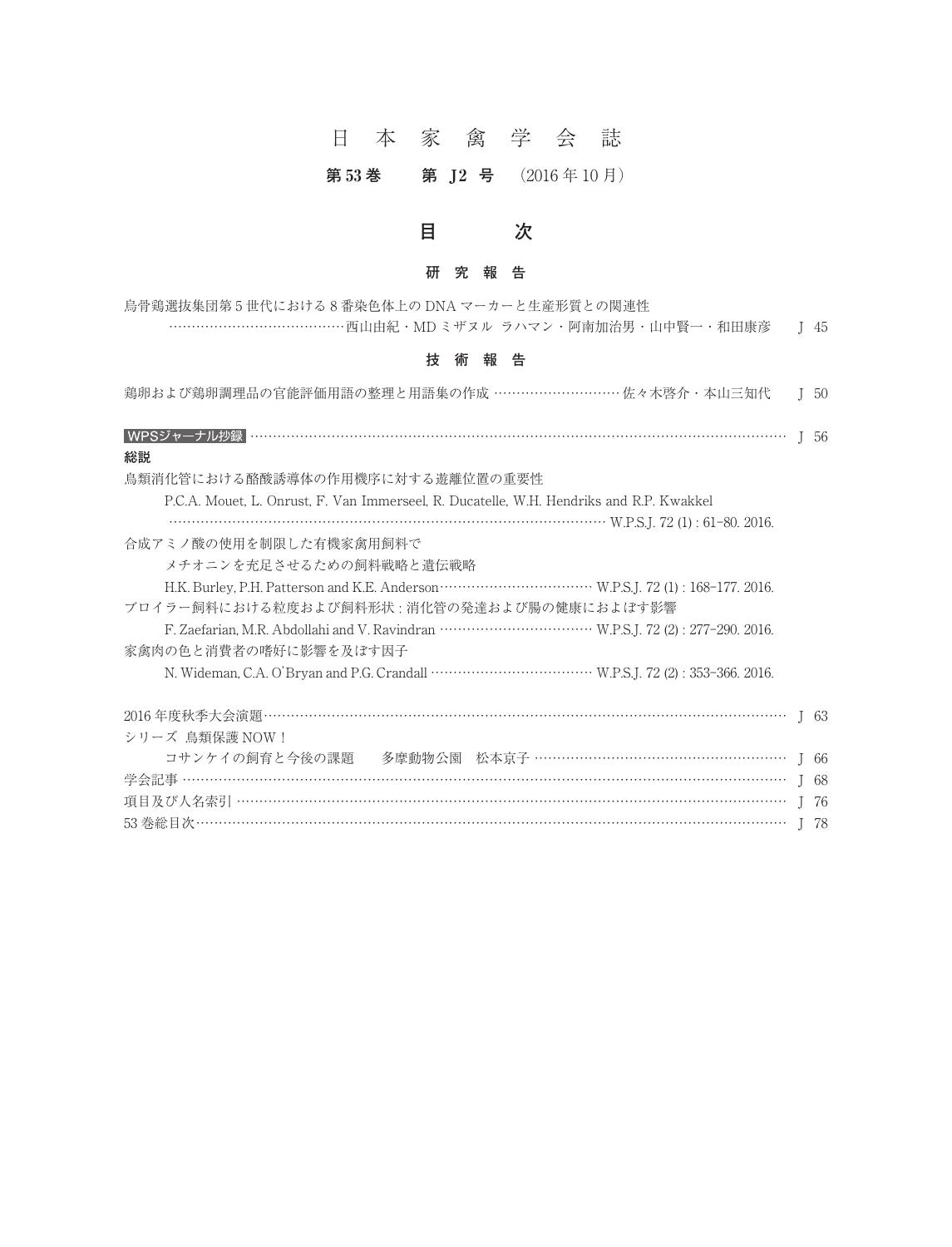# 日本家禽学会誌

# 第53 巻 第 J2 号 (2016年10月)



#### **研究報告**

| 烏骨鶏選抜集団第5世代における8番染色体上の DNA マーカーと生産形質との関連性             |  |
|-------------------------------------------------------|--|
| …………………………………西山由紀·MD ミザヌル ラハマン・阿南加治男・山中賢一・和田康彦 ― J 45 |  |

#### **技術報告**

| 技<br>報<br>術<br>告                                                                        |                 |
|-----------------------------------------------------------------------------------------|-----------------|
| 鶏卵および鶏卵調理品の官能評価用語の整理と用語集の作成 …………………………佐々木啓介・本山三知代                                       | I <sub>50</sub> |
|                                                                                         | I 56            |
| 総説                                                                                      |                 |
| 鳥類消化管における酪酸誘導体の作用機序に対する遊離位置の重要性                                                         |                 |
| P.C.A. Mouet, L. Onrust, F. Van Immerseel, R. Ducatelle, W.H. Hendriks and R.P. Kwakkel |                 |
| W.P.S.J. 72 (1): 61-80. 2016.                                                           |                 |
| 合成アミノ酸の使用を制限した有機家禽用飼料で                                                                  |                 |
| メチオニンを充足させるための飼料戦略と遺伝戦略                                                                 |                 |
|                                                                                         |                 |
| ブロイラー飼料における粒度および飼料形状: 消化管の発達および腸の健康におよぼす影響                                              |                 |
|                                                                                         |                 |
| 家禽肉の色と消費者の嗜好に影響を及ぼす因子                                                                   |                 |
|                                                                                         |                 |
|                                                                                         | 163             |
| シリーズ 鳥類保護 NOW!                                                                          |                 |
| コサンケイの飼育と今後の課題 多摩動物公園 松本京子 ……………………………………………………… J 66                                   |                 |
|                                                                                         | I 68            |
|                                                                                         | I 76            |
|                                                                                         | J 78            |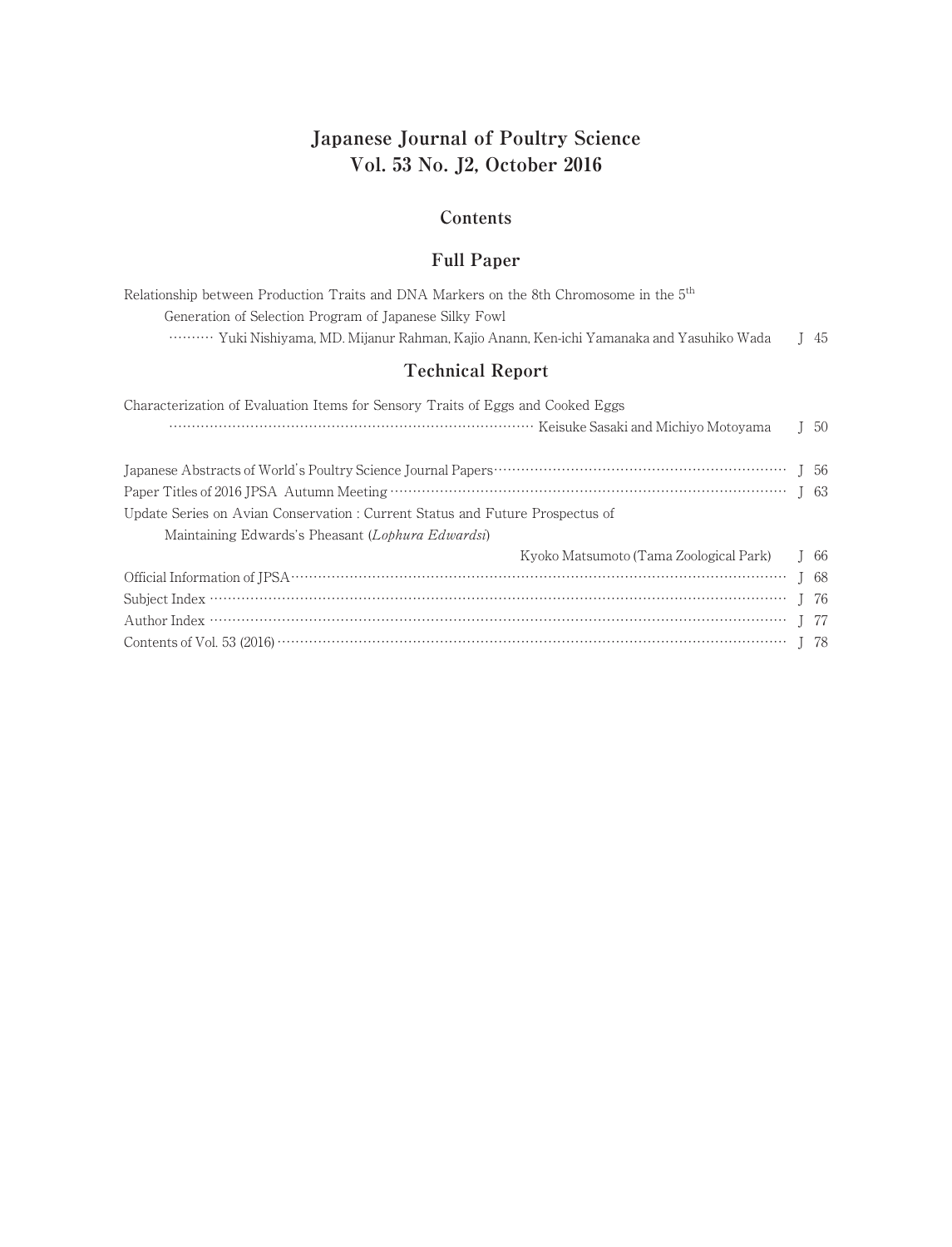# **Japanese Journal of Poultry Science Vol. 53 No. J2, October 2016**

#### **Contents**

## **Full Paper**

| Relationship between Production Traits and DNA Markers on the 8th Chromosome in the $5th$ |      |
|-------------------------------------------------------------------------------------------|------|
| Generation of Selection Program of Japanese Silky Fowl                                    |      |
| Yuki Nishiyama, MD, Mijanur Rahman, Kajio Anann, Ken-ichi Yamanaka and Yasuhiko Wada      | I 45 |

## **Technical Report**

| Characterization of Evaluation Items for Sensory Traits of Eggs and Cooked Eggs |      |
|---------------------------------------------------------------------------------|------|
|                                                                                 | -50  |
|                                                                                 |      |
|                                                                                 |      |
|                                                                                 |      |
| Update Series on Avian Conservation : Current Status and Future Prospectus of   |      |
| Maintaining Edwards's Pheasant (Lophura Edwardsi)                               |      |
| Kyoko Matsumoto (Tama Zoological Park)                                          | I 66 |
|                                                                                 |      |
|                                                                                 | I 76 |
|                                                                                 | I 77 |
|                                                                                 | - 78 |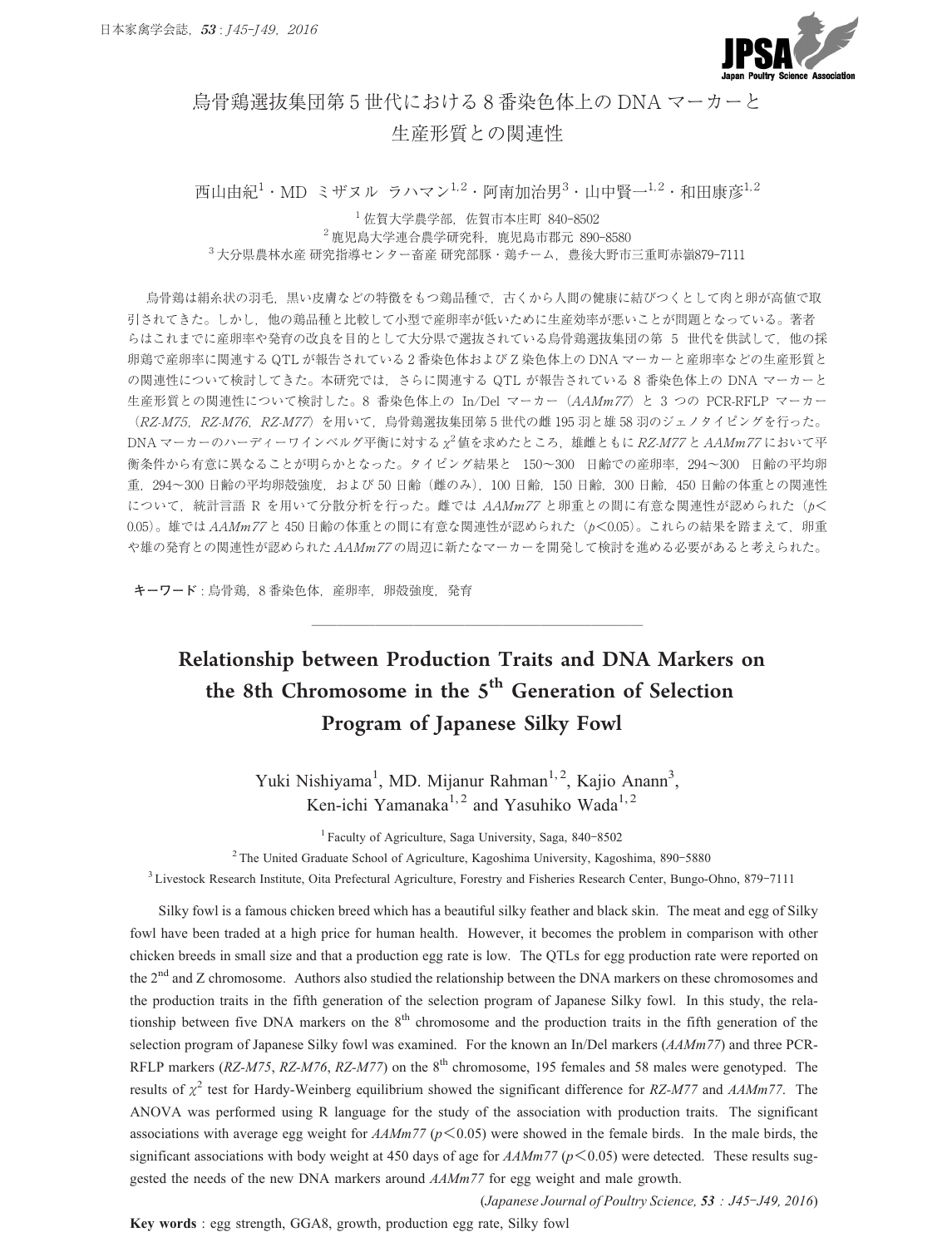

## 烏骨鶏選抜集団第 5 世代における 8 番染色体上の DNA マーカーと 生産形質との関連性

西山由紀<sup>1</sup>・MD ミザヌル ラハマン<sup>1,2</sup>・阿南加治男<sup>3</sup>・山中賢一<sup>1,2</sup>・和田康彦<sup>1,2</sup> **年産形賞との関理性<br>スル ラハマン<sup>1.2</sup>・阿南加治男<sup>3</sup>・山<br><sup>1</sup>佐賀大学農学部, 佐賀市本庄町 840-8502** 

-<br>2 ザヌル ラハマン<sup>1,2</sup>・阿南加治男<sup>3</sup>・山中賢<br><sup>- 1</sup>佐賀大学農学部, 佐賀市本庄町 840-8502<br><sup>2</sup>鹿児島大学連合農学研究科, 鹿児島市郡元 890-8580 .<br>|山由紀<sup>1</sup>・MD ミザヌル ラハマン<sup>1,2</sup>・阿南加治男<sup>3</sup>・山中賢一<sup>1,2</sup>・和田康彦|<br>|佐賀大学農学部, 佐賀市本庄町 840-8502<br><sup>3</sup>大分県農林水産研究指導センター畜産研究部豚・鶏チーム, 豊後大野市三重町赤嶺879-7111

烏骨鶏は絹糸状の羽毛,黒い皮膚などの特徴をもつ鶏品種で,古くから人間の健康に結びつくとして肉と卵が高値で取 引されてきた。しかし,他の鶏品種と比較して小型で産卵率が低いために生産効率が悪いことが問題となっている。著者 らはこれまでに産卵率や発育の改良を目的として大分県で選抜されている烏骨鶏選抜集団の第 5 世代を供試して、他の採 卵鶏で産卵率に関連する QTL が報告されている 2 番染色体および Z 染色体上の DNA マーカーと産卵率などの生産形質と の関連性について検討してきた。本研究では、さらに関連する QTL が報告されている 8 番染色体上の DNA マーカーと 生産形質との関連性について検討した。8 番染色体上の In/Del マーカー (AAMm77) と 3 つの PCR-RFLP マーカー (RZ-M75, RZ-M76, RZ-M77)を用いて、烏骨鶏選抜集団第 5 世代の雌 195 羽と雄 58 羽のジェノタイピングを行った。 DNA マーカーのハーディーワインベルグ平衡に対する *χ* <sup>2</sup>値を求めたところ,雄雌ともに RZ-M77 と AAMm77 において平 の関連性について検討してきた。本研究では,さらに関連する QTL が報告されている 8 番染色体上の DNA マーカーと<br>生産形質との関連性について検討した。8 番染色体上の In/Del マーカー(*AAMm77*)と 3 つの PCR-RFLP マーカー<br>(*RZ-M75,RZ-M76,RZ-M77*)を用いて,烏骨鶏選抜集団第 5 世代の雌 195 羽と雄 58 羽のジェノタイピングを行った。<br>DNA マーカーのハーディーワイン 生産形質との関連性について検討した。8 番染色体上の In/Del マーカー(*AAMm77*)と 3 つの PCR-RFLP マーカー<br>(*RZ-M75, RZ-M76, RZ-M77*)を用いて,烏骨鶏選抜集団第 5 世代の雌 195 羽と雄 58 羽のジェノタイピングを行った。<br>DNA マーカーのハーディーワインベルグ平衡に対する x<sup>2</sup>値を求めたところ,雄雌ともに *RZ-M77 と AAMm77* において平<br>衡条件から有 (*RZ-M75, RZ-M76, RZ-M77*)を用いて, 烏骨鶏選抜集団第 5 世代の雌 195 羽と雄 58 羽のジェノタイピングを行った。<br>DNA マーカーのハーディーワインベルグ平衡に対する x<sup>2</sup>値を求めたところ, 雄雌ともに *RZ-M77 と AAMm77* において平<br>衡条件から有意に異なることが明らかとなった。タイピング結果と 150~300 日齢での産卵率,294~300 日齢の平均卵<br>重,294~300 日齢 DNA マーカーのハーディーワインベルグ平衡に対する x<sup>2</sup> 値を求めたところ,雄雌ともに *RZ-M77 と AAMm77* において平<br>衡条件から有意に異なることが明らかとなった。タイピング結果と 150~300 日齢での産卵率,294~300 日齢の平均卵<br>重,294~300 日齢の平均卵殻強度,および 50 日齢(雌のみ),100 日齢,150 日齢,300 日齢,450 日齢の体重との関連性<br>について,統計言語 R を用いて や雄の発育との関連性が認められた AAMm77 の周辺に新たなマーカーを開発して検討を進める必要があると考えられた。

**キーワード** : 烏骨鶏,8 番染色体,産卵率,卵殻強度,発育

# Relationship between Production Traits and DNA Markers on the 8th Chromosome in the  $5<sup>th</sup>$  Generation of Selection Program of Japanese Silky Fowl

Yuki Nishiyama<sup>1</sup>, MD. Mijanur Rahman<sup>1,2</sup>, Kajio Anann<sup>3</sup>, Ken-ichi Yamanaka<sup>1, 2</sup> and Yasuhiko Wada<sup>1, 2</sup> hiyama<sup>1</sup>, MD. Mijanur Rahman<sup>1,2</sup>, Kajio<br>en-ichi Yamanaka<sup>1,2</sup> and Yasuhiko Wada<sup>1</sup><br><sup>1</sup> Faculty of Agriculture, Saga University, Saga, 840-8502 Xen-ichi Yamanaka<sup>1, 2</sup> and Yasuhiko Wada<sup>1, 2</sup><br><sup>1</sup> Faculty of Agriculture, Saga University, Saga, 840-8502<br><sup>2</sup> The United Graduate School of Agriculture, Kagoshima University, Kagoshima, 890-5880<sup>3</sup><br>Livestock Research Ins Yuki Nishiyama<sup>1</sup>, MD. Mijanur Rahman<sup>1, 2</sup>, Kajio Anann<sup>3</sup>,<br>Ken-ichi Yamanaka<sup>1, 2</sup> and Yasuhiko Wada<sup>1, 2</sup><br><sup>1</sup> Faculty of Agriculture, Saga University, Saga, 840-8502<br>The United Graduate School of Agriculture, Kagoshima

<sup>2</sup> The United Graduate School of Agriculture, Kagoshima University, Kagoshima, 890-5880

Silky fowl is a famous chicken breed which has a beautiful silky feather and black skin. The meat and egg of Silky fowl have been traded at a high price for human health. However, it becomes the problem in comparison with other chicken breeds in small size and that a production egg rate is low. The QTLs for egg production rate were reported on the 2<sup>nd</sup> and Z chromosome. Authors also studied the relationship between the DNA markers on these chromosomes and the production traits in the fifth generation of the selection program of Japanese Silky fowl. In this study, the relationship between five DNA markers on the 8<sup>th</sup> chromosome and the production traits in the fifth generation of the selection program of Japanese Silky fowl was examined. For the known an In/Del markers (*AAMm77*) and three PCR-RFLP markers (*RZ-M75*, *RZ-M76*, *RZ-M77*) on the 8<sup>th</sup> chromosome, 195 females and 58 males were genotyped. The results of *χ*<sup>2</sup> test for Hardy-Weinberg equilibrium showed the significant difference for *RZ-M77* and *AAMm77*. The ANOVA was performed using R language for the study of the association with production traits. The significant selection program of Japanese Silky fowl was examined. For the known an In/Del markers (*AAMm77*) and three PCR-<br>RFLP markers (*RZ-M75*, *RZ-M76*, *RZ-M77*) on the 8<sup>th</sup> chromosome, 195 females and 58 males were genotyped RFLP markers (RZ-M75, RZ-M76, RZ-M77) on the 8<sup>th</sup> chromosome, 195 females and 58 males were genotyped. The results of  $\chi^2$  test for Hardy-Weinberg equilibrium showed the significant difference for RZ-M77 and *AAMm77*. gested the needs of the new DNA markers around *AAMm77* for egg weight and male growth. (*Japanese Journal of Poultry Science,* **53** *: J45–J49, 2016*) were showed in the female birds. In the male birds, the for  $AAMm77 (p<0.05)$  were detected. These results sug-<br>7 for egg weight and male growth.<br>(*Japanese Jo* 

**Key words** : egg strength, GGA8, growth, production egg rate, Silky fowl